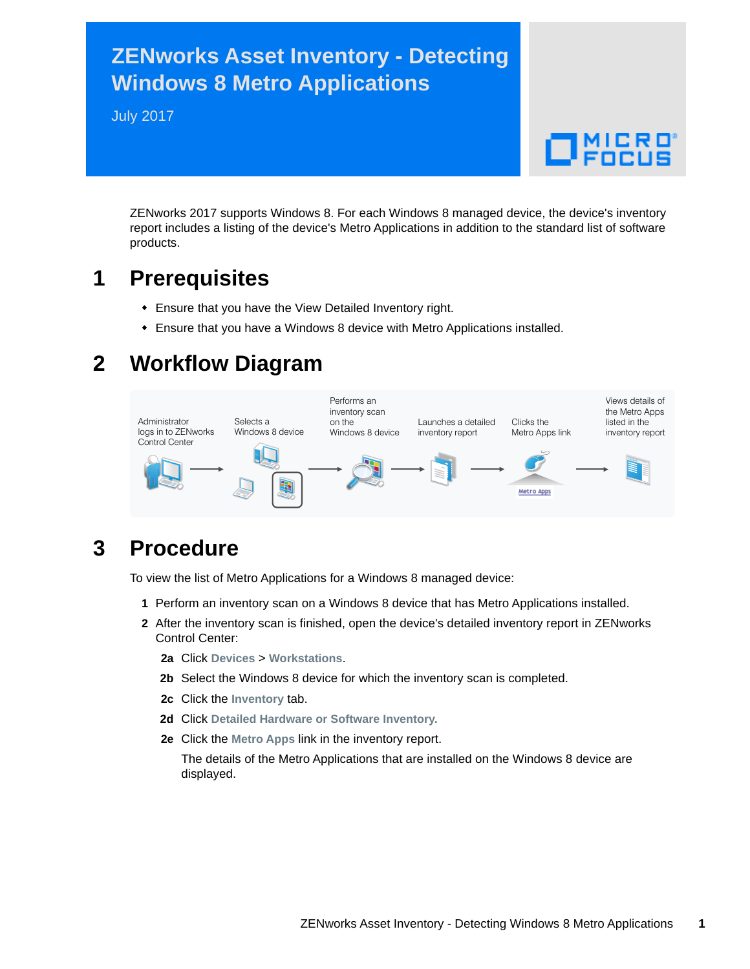## **ZENworks Asset Inventory - Detecting Windows 8 Metro Applications**

July 2017

 $\Box$ MICRO

ZENworks 2017 supports Windows 8. For each Windows 8 managed device, the device's inventory report includes a listing of the device's Metro Applications in addition to the standard list of software products.

## **1 Prerequisites**

- Ensure that you have the View Detailed Inventory right.
- Ensure that you have a Windows 8 device with Metro Applications installed.

# **2 Workflow Diagram**



# **3 Procedure**

To view the list of Metro Applications for a Windows 8 managed device:

- **1** Perform an inventory scan on a Windows 8 device that has Metro Applications installed.
- **2** After the inventory scan is finished, open the device's detailed inventory report in ZENworks Control Center:
	- **2a** Click **Devices** > **Workstations**.
	- **2b** Select the Windows 8 device for which the inventory scan is completed.
	- **2c** Click the **Inventory** tab.
	- **2d** Click **Detailed Hardware or Software Inventory.**
	- **2e** Click the **Metro Apps** link in the inventory report.

The details of the Metro Applications that are installed on the Windows 8 device are displayed.